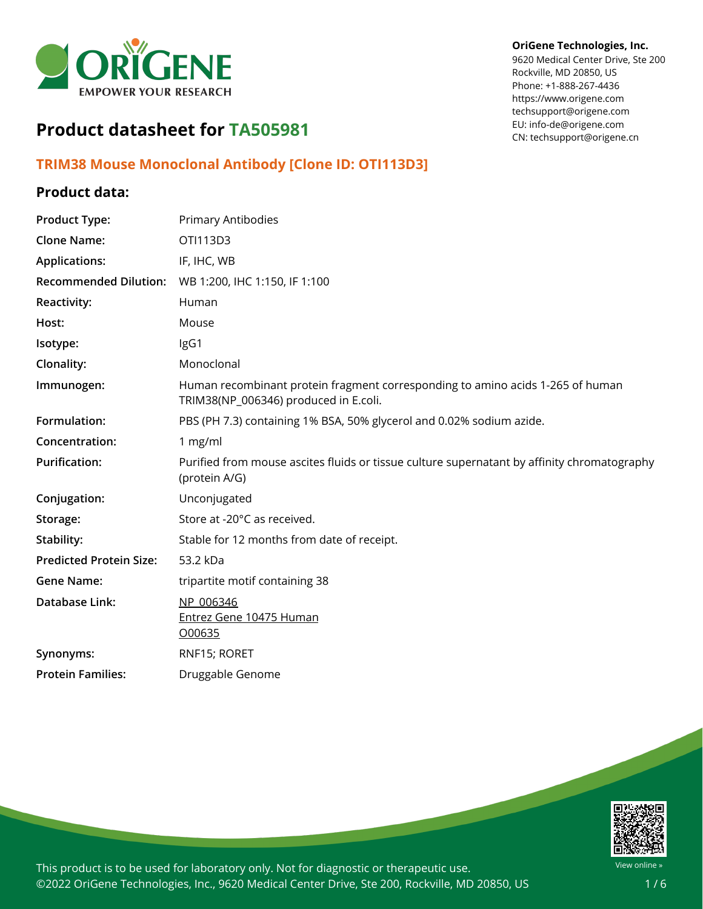

#### **OriGene Technologies, Inc.**

9620 Medical Center Drive, Ste 200 Rockville, MD 20850, US Phone: +1-888-267-4436 https://www.origene.com techsupport@origene.com EU: info-de@origene.com CN: techsupport@origene.cn

# **Product datasheet for TA505981**

# **TRIM38 Mouse Monoclonal Antibody [Clone ID: OTI113D3]**

# **Product data:**

| <b>Product Type:</b>           | Primary Antibodies                                                                                                      |
|--------------------------------|-------------------------------------------------------------------------------------------------------------------------|
| <b>Clone Name:</b>             | OTI113D3                                                                                                                |
| <b>Applications:</b>           | IF, IHC, WB                                                                                                             |
| <b>Recommended Dilution:</b>   | WB 1:200, IHC 1:150, IF 1:100                                                                                           |
| <b>Reactivity:</b>             | Human                                                                                                                   |
| Host:                          | Mouse                                                                                                                   |
| Isotype:                       | IgG1                                                                                                                    |
| Clonality:                     | Monoclonal                                                                                                              |
| Immunogen:                     | Human recombinant protein fragment corresponding to amino acids 1-265 of human<br>TRIM38(NP_006346) produced in E.coli. |
| Formulation:                   | PBS (PH 7.3) containing 1% BSA, 50% glycerol and 0.02% sodium azide.                                                    |
| Concentration:                 | 1 mg/ml                                                                                                                 |
| <b>Purification:</b>           | Purified from mouse ascites fluids or tissue culture supernatant by affinity chromatography<br>(protein A/G)            |
| Conjugation:                   | Unconjugated                                                                                                            |
| Storage:                       | Store at -20°C as received.                                                                                             |
| Stability:                     | Stable for 12 months from date of receipt.                                                                              |
| <b>Predicted Protein Size:</b> | 53.2 kDa                                                                                                                |
| <b>Gene Name:</b>              | tripartite motif containing 38                                                                                          |
| Database Link:                 | NP 006346<br>Entrez Gene 10475 Human<br>000635                                                                          |
| Synonyms:                      | RNF15; RORET                                                                                                            |
| <b>Protein Families:</b>       | Druggable Genome                                                                                                        |
|                                |                                                                                                                         |

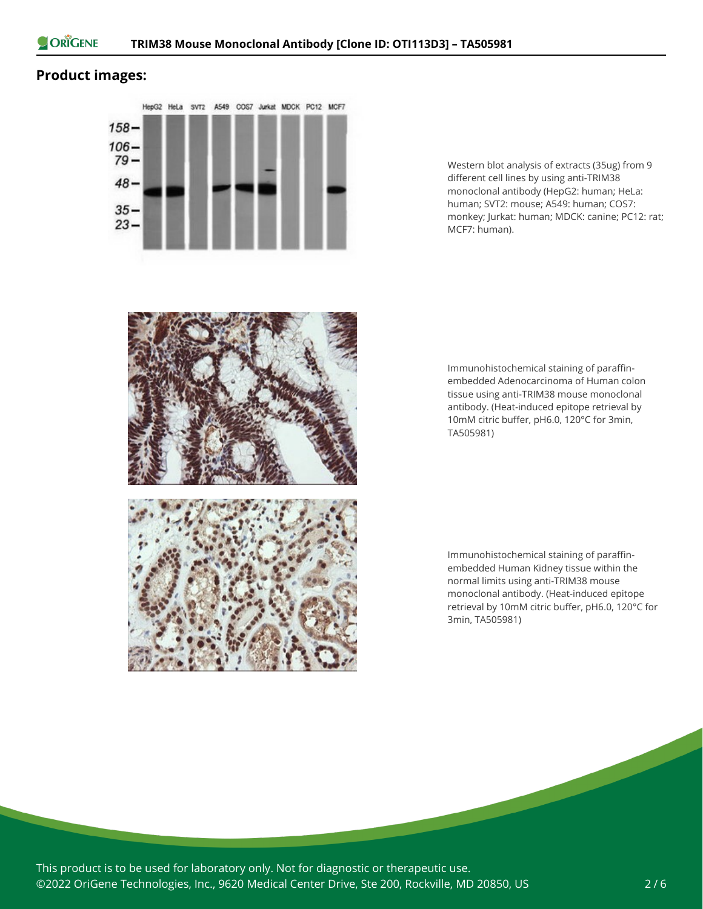

## **Product images:**



Western blot analysis of extracts (35ug) from 9 different cell lines by using anti-TRIM38 monoclonal antibody (HepG2: human; HeLa: human; SVT2: mouse; A549: human; COS7: monkey; Jurkat: human; MDCK: canine; PC12: rat; MCF7: human).



Immunohistochemical staining of paraffinembedded Adenocarcinoma of Human colon tissue using anti-TRIM38 mouse monoclonal antibody. (Heat-induced epitope retrieval by 10mM citric buffer, pH6.0, 120°C for 3min, TA505981)

Immunohistochemical staining of paraffinembedded Human Kidney tissue within the normal limits using anti-TRIM38 mouse monoclonal antibody. (Heat-induced epitope retrieval by 10mM citric buffer, pH6.0, 120°C for 3min, TA505981)

This product is to be used for laboratory only. Not for diagnostic or therapeutic use. ©2022 OriGene Technologies, Inc., 9620 Medical Center Drive, Ste 200, Rockville, MD 20850, US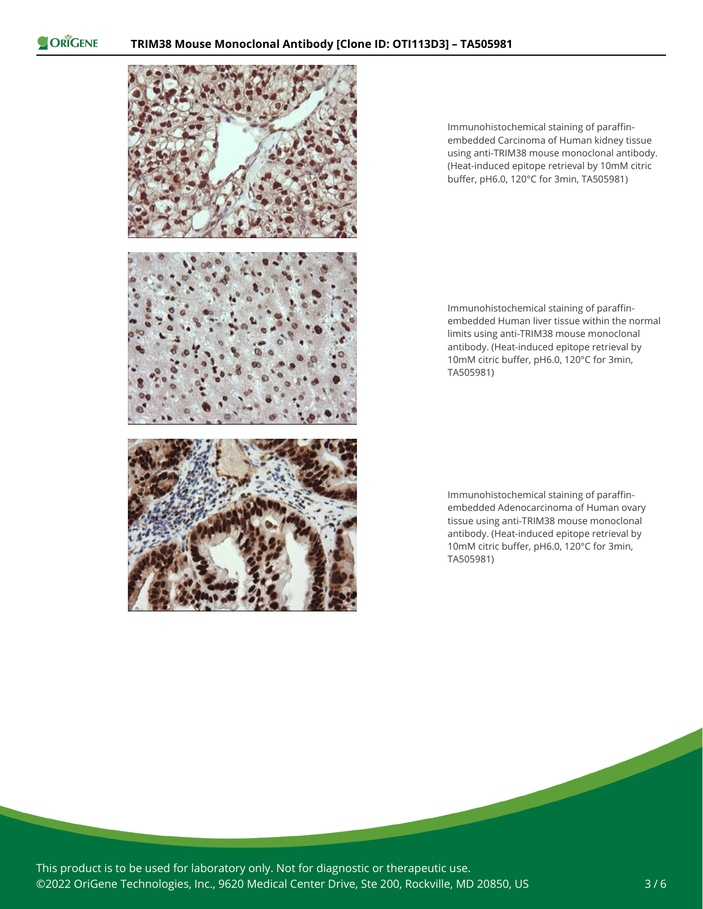ORIGENE



Immunohistochemical staining of paraffinembedded Carcinoma of Human kidney tissue using anti-TRIM38 mouse monoclonal antibody. (Heat-induced epitope retrieval by 10mM citric buffer, pH6.0, 120°C for 3min, TA505981)

Immunohistochemical staining of paraffinembedded Human liver tissue within the normal limits using anti-TRIM38 mouse monoclonal antibody. (Heat-induced epitope retrieval by 10mM citric buffer, pH6.0, 120°C for 3min, TA505981)

Immunohistochemical staining of paraffinembedded Adenocarcinoma of Human ovary tissue using anti-TRIM38 mouse monoclonal antibody. (Heat-induced epitope retrieval by 10mM citric buffer, pH6.0, 120°C for 3min, TA505981)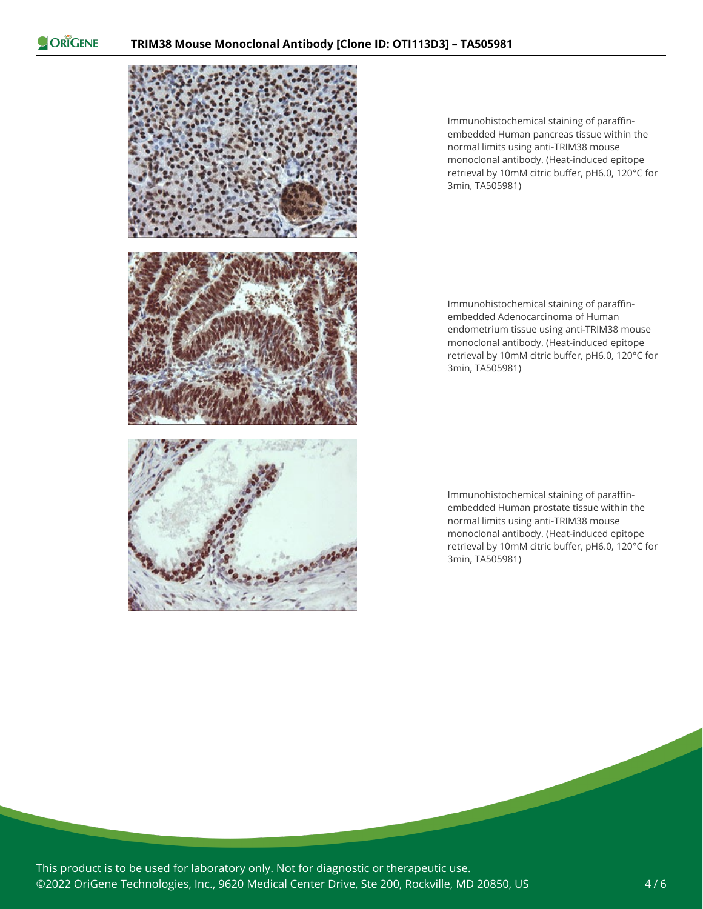ORIGENE



Immunohistochemical staining of paraffinembedded Human pancreas tissue within the normal limits using anti-TRIM38 mouse monoclonal antibody. (Heat-induced epitope retrieval by 10mM citric buffer, pH6.0, 120°C for 3min, TA505981)

Immunohistochemical staining of paraffinembedded Adenocarcinoma of Human endometrium tissue using anti-TRIM38 mouse monoclonal antibody. (Heat-induced epitope retrieval by 10mM citric buffer, pH6.0, 120°C for 3min, TA505981)

Immunohistochemical staining of paraffinembedded Human prostate tissue within the normal limits using anti-TRIM38 mouse monoclonal antibody. (Heat-induced epitope retrieval by 10mM citric buffer, pH6.0, 120°C for 3min, TA505981)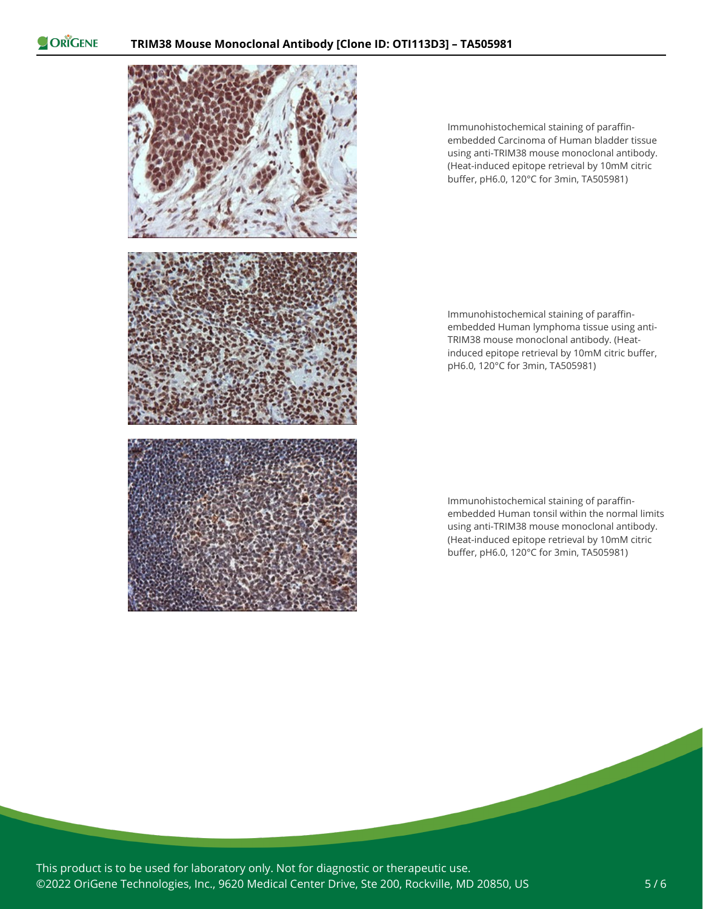ORIGENE



Immunohistochemical staining of paraffinembedded Carcinoma of Human bladder tissue using anti-TRIM38 mouse monoclonal antibody. (Heat-induced epitope retrieval by 10mM citric buffer, pH6.0, 120°C for 3min, TA505981)

Immunohistochemical staining of paraffinembedded Human lymphoma tissue using anti-TRIM38 mouse monoclonal antibody. (Heatinduced epitope retrieval by 10mM citric buffer, pH6.0, 120°C for 3min, TA505981)

Immunohistochemical staining of paraffinembedded Human tonsil within the normal limits using anti-TRIM38 mouse monoclonal antibody. (Heat-induced epitope retrieval by 10mM citric buffer, pH6.0, 120°C for 3min, TA505981)